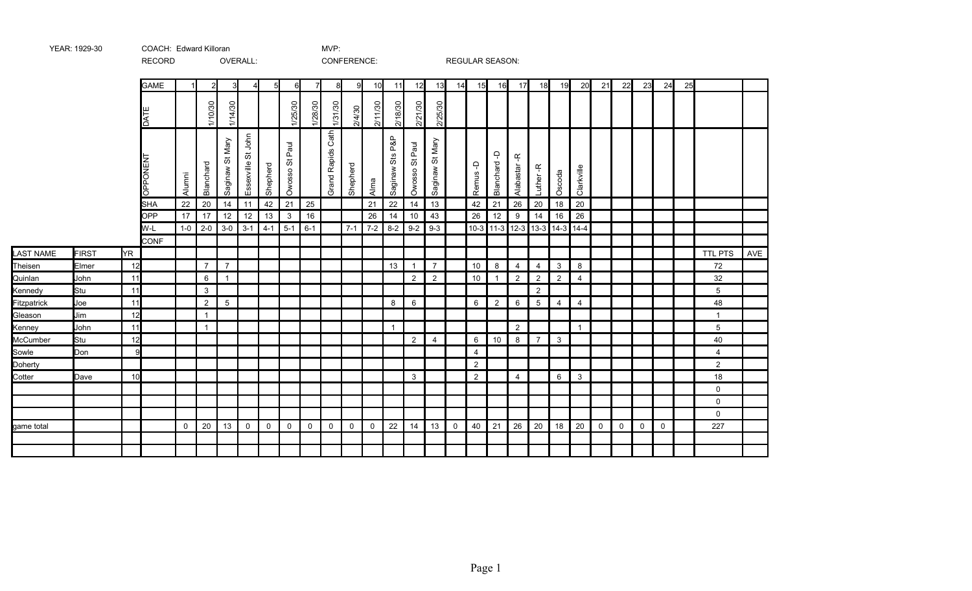|             |              |     | <b>RECORD</b>   |             |                |                     | OVERALL:                   |                |                      |             | CONFERENCE:                 |              |                 |                       |                                                     |                    |                |                                   | <b>REGULAR SEASON:</b>        |                 |                |                |                |             |             |             |             |    |                |     |
|-------------|--------------|-----|-----------------|-------------|----------------|---------------------|----------------------------|----------------|----------------------|-------------|-----------------------------|--------------|-----------------|-----------------------|-----------------------------------------------------|--------------------|----------------|-----------------------------------|-------------------------------|-----------------|----------------|----------------|----------------|-------------|-------------|-------------|-------------|----|----------------|-----|
|             |              |     | <b>GAME</b>     |             | $\mathfrak{p}$ | 3                   | 4                          | 5 <sub>l</sub> | 6I                   | 7           | 8                           | 9            | 10 <sup>l</sup> | 11                    | 12                                                  | 13                 | 14             | 15                                | 16                            | 17              | 18             | 19             | 20             | 21          | 22          | 23          | 24          | 25 |                |     |
|             |              |     | <b>DATE</b>     |             | 1/10/30        | 1/14/30             |                            |                | 1/25/30              | 1/28/30     | 1/31/30                     | 2/4/30       | 2/11/30         | 2/18/30               | 2/21/30                                             | 2/25/30            |                |                                   |                               |                 |                |                |                |             |             |             |             |    |                |     |
|             |              |     | <b>LN3NOddC</b> | Alumni      | Blanchard      | St Mary<br>Saginaw: | John<br>55<br>Essexville : | Shepherd       | Paul<br>5,<br>Owosso |             | Cath<br><b>Grand Rapids</b> | Shepherd     | Alma            | P&P<br>Sts<br>Saginaw | Paul<br>$\overleftrightarrow{\mathrm{o}}$<br>Owosso | St Mary<br>Saginaw |                | $\overline{\mathcal{C}}$<br>Remus | Ļ<br>Blanchard                | ۴Ļ<br>Alabastar | Luther-R       | Oscoda         | Clarkville     |             |             |             |             |    |                |     |
|             |              |     | <b>SHA</b>      | 22          | 20             | 14                  | 11                         | 42             | 21                   | 25          |                             |              | 21              | 22                    | 14                                                  | 13                 |                | 42                                | 21                            | 26              | 20             | $18\,$         | $20\,$         |             |             |             |             |    |                |     |
|             |              |     | <b>OPP</b>      | 17          | 17             | 12                  | 12                         | 13             | $\mathbf{3}$         | 16          |                             |              | 26              | 14                    | 10                                                  | 43                 |                | 26                                | 12                            | 9               | 14             | $16\,$         | 26             |             |             |             |             |    |                |     |
|             |              |     | W-L             | $1-0$       | $2 - 0$        | $3-0$               | $3 - 1$                    | $4 - 1$        | $5-1$                | $6 - 1$     |                             | $7 - 1$      | $7 - 2$         | $8 - 2$               | $9-2$                                               | $9 - 3$            |                |                                   | 10-3 11-3 12-3 13-3 14-3 14-4 |                 |                |                |                |             |             |             |             |    |                |     |
|             |              |     | <b>CONF</b>     |             |                |                     |                            |                |                      |             |                             |              |                 |                       |                                                     |                    |                |                                   |                               |                 |                |                |                |             |             |             |             |    |                |     |
| LAST NAME   | <b>FIRST</b> | YR. |                 |             |                |                     |                            |                |                      |             |                             |              |                 |                       |                                                     |                    |                |                                   |                               |                 |                |                |                |             |             |             |             |    | TTL PTS        | AVE |
| Theisen     | Elmer        | 12  |                 |             | $\overline{7}$ | $\overline{7}$      |                            |                |                      |             |                             |              |                 | 13                    | 1                                                   | $\overline{7}$     |                | 10                                | 8                             | 4               | $\overline{4}$ | $\mathbf{3}$   | 8              |             |             |             |             |    | 72             |     |
| Quinlan     | John         | 11  |                 |             | 6              | $\overline{1}$      |                            |                |                      |             |                             |              |                 |                       | 2                                                   | $\overline{2}$     |                | 10                                | $\mathbf{1}$                  | 2               | $\overline{2}$ | 2              | $\overline{4}$ |             |             |             |             |    | 32             |     |
| Kennedy     | Stu          | 11  |                 |             | 3              |                     |                            |                |                      |             |                             |              |                 |                       |                                                     |                    |                |                                   |                               |                 | $\overline{2}$ |                |                |             |             |             |             |    | 5              |     |
| Fitzpatrick | Joe          | 11  |                 |             | $\overline{2}$ | $5\phantom{.0}$     |                            |                |                      |             |                             |              |                 | 8                     | 6                                                   |                    |                | 6                                 | $\overline{c}$                | 6               | 5              | $\overline{4}$ | $\overline{4}$ |             |             |             |             |    | 48             |     |
| Gleason     | Jim          | 12  |                 |             | $\mathbf{1}$   |                     |                            |                |                      |             |                             |              |                 |                       |                                                     |                    |                |                                   |                               |                 |                |                |                |             |             |             |             |    | $\mathbf{1}$   |     |
| Kenney      | John         | 11  |                 |             | $\overline{1}$ |                     |                            |                |                      |             |                             |              |                 | $\overline{1}$        |                                                     |                    |                |                                   |                               | $\overline{2}$  |                |                | $\mathbf{1}$   |             |             |             |             |    | 5              |     |
| McCumber    | Stu          | 12  |                 |             |                |                     |                            |                |                      |             |                             |              |                 |                       | $\overline{2}$                                      | $\overline{4}$     |                | 6                                 | 10                            | 8               | $\overline{7}$ | $\mathbf{3}$   |                |             |             |             |             |    | 40             |     |
| Sowle       | Don          | q   |                 |             |                |                     |                            |                |                      |             |                             |              |                 |                       |                                                     |                    |                | $\overline{4}$                    |                               |                 |                |                |                |             |             |             |             |    | $\overline{4}$ |     |
| Doherty     |              |     |                 |             |                |                     |                            |                |                      |             |                             |              |                 |                       |                                                     |                    |                | $\overline{2}$                    |                               |                 |                |                |                |             |             |             |             |    | $\overline{2}$ |     |
| Cotter      | Dave         | 10  |                 |             |                |                     |                            |                |                      |             |                             |              |                 |                       | 3                                                   |                    |                | $\overline{2}$                    |                               | 4               |                | 6              | $\mathbf{3}$   |             |             |             |             |    | 18             |     |
|             |              |     |                 |             |                |                     |                            |                |                      |             |                             |              |                 |                       |                                                     |                    |                |                                   |                               |                 |                |                |                |             |             |             |             |    | 0              |     |
|             |              |     |                 |             |                |                     |                            |                |                      |             |                             |              |                 |                       |                                                     |                    |                |                                   |                               |                 |                |                |                |             |             |             |             |    | 0              |     |
|             |              |     |                 |             |                |                     |                            |                |                      |             |                             |              |                 |                       |                                                     |                    |                |                                   |                               |                 |                |                |                |             |             |             |             |    | 0              |     |
| game total  |              |     |                 | $\mathbf 0$ | 20             | 13                  | $\mathbf 0$                | $\mathbf 0$    | $\mathbf 0$          | $\mathbf 0$ | $\mathbf{0}$                | $\mathbf{0}$ | $\Omega$        | 22                    | 14                                                  | 13                 | $\overline{0}$ | 40                                | 21                            | 26              | 20             | 18             | 20             | $\mathbf 0$ | $\mathbf 0$ | $\mathbf 0$ | $\mathbf 0$ |    | 227            |     |
|             |              |     |                 |             |                |                     |                            |                |                      |             |                             |              |                 |                       |                                                     |                    |                |                                   |                               |                 |                |                |                |             |             |             |             |    |                |     |
|             |              |     |                 |             |                |                     |                            |                |                      |             |                             |              |                 |                       |                                                     |                    |                |                                   |                               |                 |                |                |                |             |             |             |             |    |                |     |

Page 1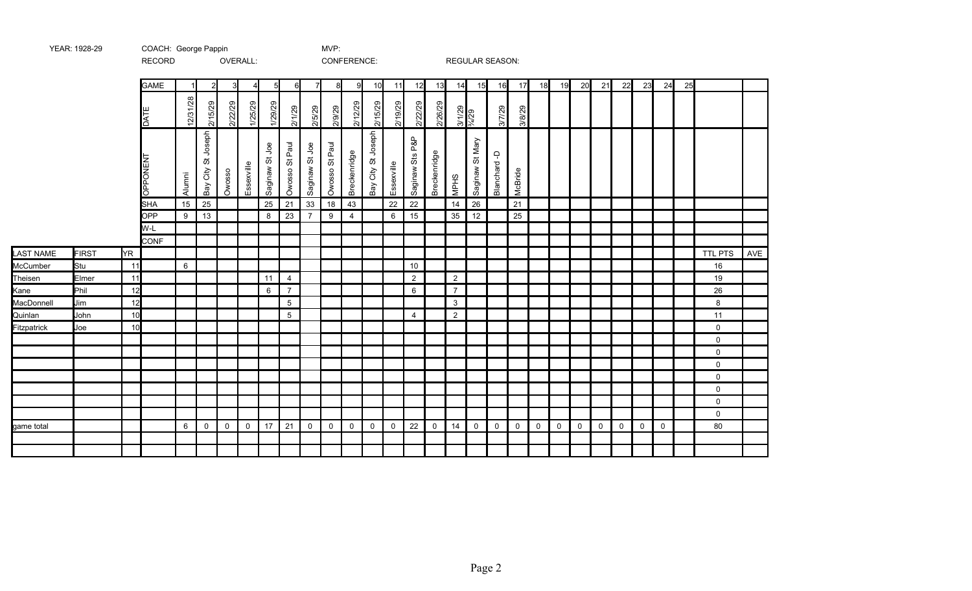|                  |              |     | RECORD          |          |                          |             | OVERALL:       |                |                 |                | CONFERENCE:       |                |                            |             |                              |              |                | <b>REGULAR SEASON:</b> |                |          |             |          |             |             |             |             |             |    |                     |     |
|------------------|--------------|-----|-----------------|----------|--------------------------|-------------|----------------|----------------|-----------------|----------------|-------------------|----------------|----------------------------|-------------|------------------------------|--------------|----------------|------------------------|----------------|----------|-------------|----------|-------------|-------------|-------------|-------------|-------------|----|---------------------|-----|
|                  |              |     | <b>GAME</b>     |          | $\mathfrak{p}$           | 3           | $\overline{4}$ | 5              | 6               | 7              | 8                 | 9              | 10                         | 11          | 12                           | 13           | 14             | 15                     | 16             | 17       | 18          | 19       | 20          | 21          | 22          | 23          | 24          | 25 |                     |     |
|                  |              |     | DATE            | 12/31/28 | 2/15/29                  | 2/22/29     | 1/25/29        | 1/29/29        | 2/1/29          | 2/5/29         | 2/9/29            | 2/12/29        | 2/15/29                    | 2/19/29     | 2/22/29                      | 2/26/29      |                | 3/1/29<br>%/29         | 3/7/29         | 3/8/29   |             |          |             |             |             |             |             |    |                     |     |
|                  |              |     | <b>LN3NOddO</b> | Alumni   | St Joseph<br>City<br>Bay | Owosso      | Essexville     | Saginaw St Joe | Owosso St Paul  | Saginaw St Joe | Paul<br>Owosso St | Breckenridge   | Joseph<br>5<br>City<br>Bay | Essexville  | P&P<br>$_{\rm s}$<br>Saginaw | Breckenridge | <b>MPHS</b>    | St Mary<br>Saginaw:    | Ļ<br>Blanchard | McBride  |             |          |             |             |             |             |             |    |                     |     |
|                  |              |     | SHA             | 15       | 25                       |             |                | 25             | 21              | 33             | 18                | 43             |                            | 22          | 22                           |              | 14             | 26                     |                | 21       |             |          |             |             |             |             |             |    |                     |     |
|                  |              |     | <b>OPP</b>      | 9        | 13                       |             |                | 8              | 23              | $\overline{7}$ | 9                 | $\overline{4}$ |                            | 6           | 15                           |              | 35             | 12                     |                | 25       |             |          |             |             |             |             |             |    |                     |     |
|                  |              |     | W-L             |          |                          |             |                |                |                 |                |                   |                |                            |             |                              |              |                |                        |                |          |             |          |             |             |             |             |             |    |                     |     |
|                  |              |     | <b>CONF</b>     |          |                          |             |                |                |                 |                |                   |                |                            |             |                              |              |                |                        |                |          |             |          |             |             |             |             |             |    |                     |     |
| <b>LAST NAME</b> | <b>FIRST</b> | YR. |                 |          |                          |             |                |                |                 |                |                   |                |                            |             |                              |              |                |                        |                |          |             |          |             |             |             |             |             |    | <b>TTL PTS</b>      | AVE |
| McCumber         | Stu          | 11  |                 | 6        |                          |             |                |                |                 |                |                   |                |                            |             | 10                           |              |                |                        |                |          |             |          |             |             |             |             |             |    | 16                  |     |
| Theisen          | Elmer        | 11  |                 |          |                          |             |                | 11             | $\overline{4}$  |                |                   |                |                            |             | $\mathbf{2}$                 |              | $\overline{2}$ |                        |                |          |             |          |             |             |             |             |             |    | 19                  |     |
| Kane             | Phil         | 12  |                 |          |                          |             |                | 6              | $\overline{7}$  |                |                   |                |                            |             | 6                            |              | $\overline{7}$ |                        |                |          |             |          |             |             |             |             |             |    | 26                  |     |
| MacDonnell       | Jim          | 12  |                 |          |                          |             |                |                | 5               |                |                   |                |                            |             |                              |              | 3              |                        |                |          |             |          |             |             |             |             |             |    | 8                   |     |
| Quinlan          | John         | 10  |                 |          |                          |             |                |                | $5\phantom{.0}$ |                |                   |                |                            |             | $\overline{4}$               |              | $\overline{2}$ |                        |                |          |             |          |             |             |             |             |             |    | 11                  |     |
| Fitzpatrick      | Joe          | 10  |                 |          |                          |             |                |                |                 |                |                   |                |                            |             |                              |              |                |                        |                |          |             |          |             |             |             |             |             |    | 0                   |     |
|                  |              |     |                 |          |                          |             |                |                |                 |                |                   |                |                            |             |                              |              |                |                        |                |          |             |          |             |             |             |             |             |    | 0                   |     |
|                  |              |     |                 |          |                          |             |                |                |                 |                |                   |                |                            |             |                              |              |                |                        |                |          |             |          |             |             |             |             |             |    | $\mathsf{O}$        |     |
|                  |              |     |                 |          |                          |             |                |                |                 |                |                   |                |                            |             |                              |              |                |                        |                |          |             |          |             |             |             |             |             |    | $\mathbf 0$         |     |
|                  |              |     |                 |          |                          |             |                |                |                 |                |                   |                |                            |             |                              |              |                |                        |                |          |             |          |             |             |             |             |             |    | 0                   |     |
|                  |              |     |                 |          |                          |             |                |                |                 |                |                   |                |                            |             |                              |              |                |                        |                |          |             |          |             |             |             |             |             |    | $\mathsf{O}$        |     |
|                  |              |     |                 |          |                          |             |                |                |                 |                |                   |                |                            |             |                              |              |                |                        |                |          |             |          |             |             |             |             |             |    | $\mathsf{O}\xspace$ |     |
|                  |              |     |                 |          |                          |             |                |                |                 |                |                   |                |                            |             |                              |              |                |                        |                |          |             |          |             |             |             |             |             |    | $\mathbf 0$         |     |
| game total       |              |     |                 | 6        | $\mathbf 0$              | $\mathbf 0$ | $\mathbf 0$    | 17             | 21              | $\mathbf 0$    | $\mathbf 0$       | $\mathbf{0}$   | $\mathbf 0$                | $\mathbf 0$ | 22                           | $\mathbf 0$  | 14             | $\mathbf 0$            | $\mathbf 0$    | $\Omega$ | $\mathbf 0$ | $\Omega$ | $\mathbf 0$ | $\mathbf 0$ | $\mathbf 0$ | $\mathbf 0$ | $\mathbf 0$ |    | 80                  |     |
|                  |              |     |                 |          |                          |             |                |                |                 |                |                   |                |                            |             |                              |              |                |                        |                |          |             |          |             |             |             |             |             |    |                     |     |
|                  |              |     |                 |          |                          |             |                |                |                 |                |                   |                |                            |             |                              |              |                |                        |                |          |             |          |             |             |             |             |             |    |                     |     |

George Pappin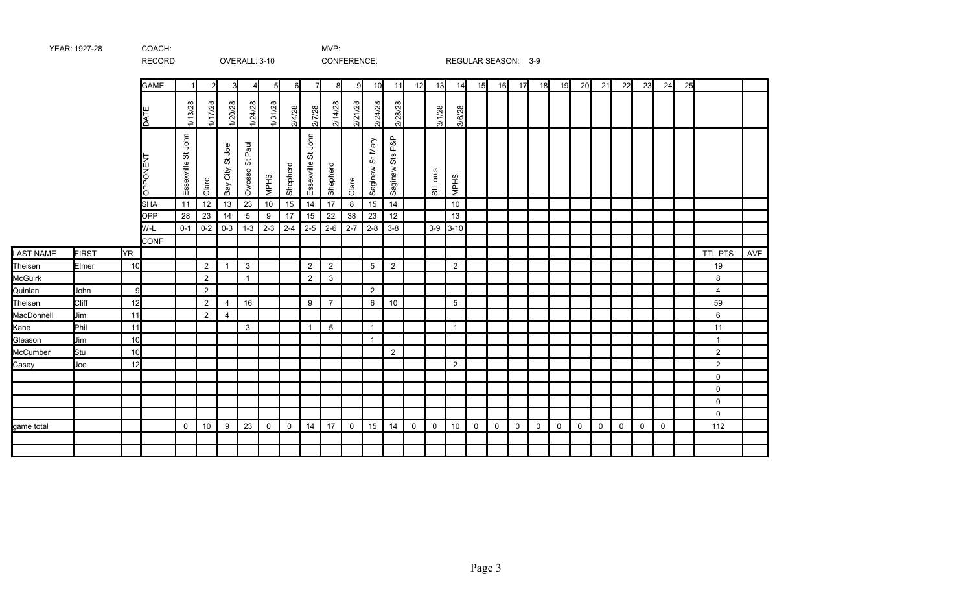|                  |              |     | RECORD          |                                        |                |                       | OVERALL: 3-10                    |                  |             |                       | CONFERENCE:    |          |                    |                              |             |                |                |                | REGULAR SEASON: 3-9 |                |          |             |             |             |             |             |             |    |                |     |
|------------------|--------------|-----|-----------------|----------------------------------------|----------------|-----------------------|----------------------------------|------------------|-------------|-----------------------|----------------|----------|--------------------|------------------------------|-------------|----------------|----------------|----------------|---------------------|----------------|----------|-------------|-------------|-------------|-------------|-------------|-------------|----|----------------|-----|
|                  |              |     | <b>GAME</b>     | 1                                      | $\overline{2}$ | 3 <sup>l</sup>        | 4                                | $5 \blacksquare$ | 6           | $\overline{7}$        | 8              | -91      | 10                 | 11                           | 12          | 13             | 14             | 15             | 16                  | 17             | 18       | 19          | 20          | 21          | 22          | 23          | 24          | 25 |                |     |
|                  |              |     | DATE            | 1/13/28                                | 1/17/28        | 1/20/28               | 1/24/28                          | 1/31/28          | 2/4/28      | 2/7/28                | 2/14/28        | 2/21/28  | 2/24/28            | 2/28/28                      |             | 3/1/28         | 3/6/28         |                |                     |                |          |             |             |             |             |             |             |    |                |     |
|                  |              |     | <b>DPPONENT</b> | John<br>$\breve{\sigma}$<br>Essexville | Clare          | St Joe<br>City<br>Bay | Paul<br>5<br>Owosso <sup>'</sup> | <b>MPHS</b>      | Shepherd    | St John<br>Essexville | Shepherd       | Clare    | St Mary<br>Saginaw | P&P<br>$_{\rm s}$<br>Saginaw |             | St Louis       | <b>MPHS</b>    |                |                     |                |          |             |             |             |             |             |             |    |                |     |
|                  |              |     | <b>SHA</b>      | 11                                     | 12             | 13                    | 23                               | 10               | 15          | 14                    | 17             | 8        | 15                 | 14                           |             |                | 10             |                |                     |                |          |             |             |             |             |             |             |    |                |     |
|                  |              |     | OPP             | 28                                     | 23             | 14                    | $\overline{5}$                   | 9                | 17          | 15                    | 22             | 38       | 23                 | 12                           |             |                | 13             |                |                     |                |          |             |             |             |             |             |             |    |                |     |
|                  |              |     | W-L             | $0 - 1$                                | $0 - 2$        | $0-3$                 | $1-3$                            | $2 - 3$          | $2 - 4$     | $2 - 5$               | $2 - 6$        | $2 - 7$  | $2 - 8$            | $3 - 8$                      |             |                | $3-9$ 3-10     |                |                     |                |          |             |             |             |             |             |             |    |                |     |
|                  |              |     | <b>CONF</b>     |                                        |                |                       |                                  |                  |             |                       |                |          |                    |                              |             |                |                |                |                     |                |          |             |             |             |             |             |             |    |                |     |
| <b>LAST NAME</b> | <b>FIRST</b> | YR. |                 |                                        |                |                       |                                  |                  |             |                       |                |          |                    |                              |             |                |                |                |                     |                |          |             |             |             |             |             |             |    | <b>TTL PTS</b> | AVE |
| Theisen          | Elmer        | 10  |                 |                                        | $\overline{2}$ | $\mathbf{1}$          | $\mathbf{3}$                     |                  |             | 2                     | $\overline{2}$ |          | 5                  | 2                            |             |                | $\overline{2}$ |                |                     |                |          |             |             |             |             |             |             |    | 19             |     |
| McGuirk          |              |     |                 |                                        | $\overline{2}$ |                       | $\mathbf{1}$                     |                  |             | $\overline{2}$        | 3              |          |                    |                              |             |                |                |                |                     |                |          |             |             |             |             |             |             |    | 8              |     |
| Quinlan          | John         | 9   |                 |                                        | $\overline{2}$ |                       |                                  |                  |             |                       |                |          | $\overline{2}$     |                              |             |                |                |                |                     |                |          |             |             |             |             |             |             |    | $\overline{4}$ |     |
| Theisen          | Cliff        | 12  |                 |                                        | $\overline{2}$ | $\overline{4}$        | 16                               |                  |             | 9                     | $\overline{7}$ |          | 6                  | 10                           |             |                | 5              |                |                     |                |          |             |             |             |             |             |             |    | 59             |     |
| MacDonnell       | Jim          | 11  |                 |                                        | 2              | $\overline{4}$        |                                  |                  |             |                       |                |          |                    |                              |             |                |                |                |                     |                |          |             |             |             |             |             |             |    | 6              |     |
| Kane             | Phil         | 11  |                 |                                        |                |                       | 3                                |                  |             | $\overline{1}$        | 5              |          | $\mathbf{1}$       |                              |             |                | $\overline{1}$ |                |                     |                |          |             |             |             |             |             |             |    | 11             |     |
| Gleason          | Jim          | 10  |                 |                                        |                |                       |                                  |                  |             |                       |                |          | $\overline{1}$     |                              |             |                |                |                |                     |                |          |             |             |             |             |             |             |    | $\overline{1}$ |     |
| McCumber         | Stu          | 10  |                 |                                        |                |                       |                                  |                  |             |                       |                |          |                    | $\overline{2}$               |             |                |                |                |                     |                |          |             |             |             |             |             |             |    | $\overline{2}$ |     |
| Casey            | Joe          | 12  |                 |                                        |                |                       |                                  |                  |             |                       |                |          |                    |                              |             |                | $\overline{2}$ |                |                     |                |          |             |             |             |             |             |             |    | $\overline{2}$ |     |
|                  |              |     |                 |                                        |                |                       |                                  |                  |             |                       |                |          |                    |                              |             |                |                |                |                     |                |          |             |             |             |             |             |             |    | $\mathsf{O}$   |     |
|                  |              |     |                 |                                        |                |                       |                                  |                  |             |                       |                |          |                    |                              |             |                |                |                |                     |                |          |             |             |             |             |             |             |    | $\mathsf{O}$   |     |
|                  |              |     |                 |                                        |                |                       |                                  |                  |             |                       |                |          |                    |                              |             |                |                |                |                     |                |          |             |             |             |             |             |             |    | 0              |     |
|                  |              |     |                 |                                        |                |                       |                                  |                  |             |                       |                |          |                    |                              |             |                |                |                |                     |                |          |             |             |             |             |             |             |    | 0              |     |
| game total       |              |     |                 | $\mathbf 0$                            | $10\,$         | 9                     | 23                               | $\mathbf 0$      | $\mathsf 0$ | 14                    | 17             | $\Omega$ | 15                 | 14                           | $\mathbf 0$ | $\overline{0}$ | 10             | $\overline{0}$ | $\mathbf 0$         | $\overline{0}$ | $\Omega$ | $\mathbf 0$ | $\mathbf 0$ | $\mathbf 0$ | $\mathbf 0$ | $\mathbf 0$ | $\mathbf 0$ |    | 112            |     |
|                  |              |     |                 |                                        |                |                       |                                  |                  |             |                       |                |          |                    |                              |             |                |                |                |                     |                |          |             |             |             |             |             |             |    |                |     |
|                  |              |     |                 |                                        |                |                       |                                  |                  |             |                       |                |          |                    |                              |             |                |                |                |                     |                |          |             |             |             |             |             |             |    |                |     |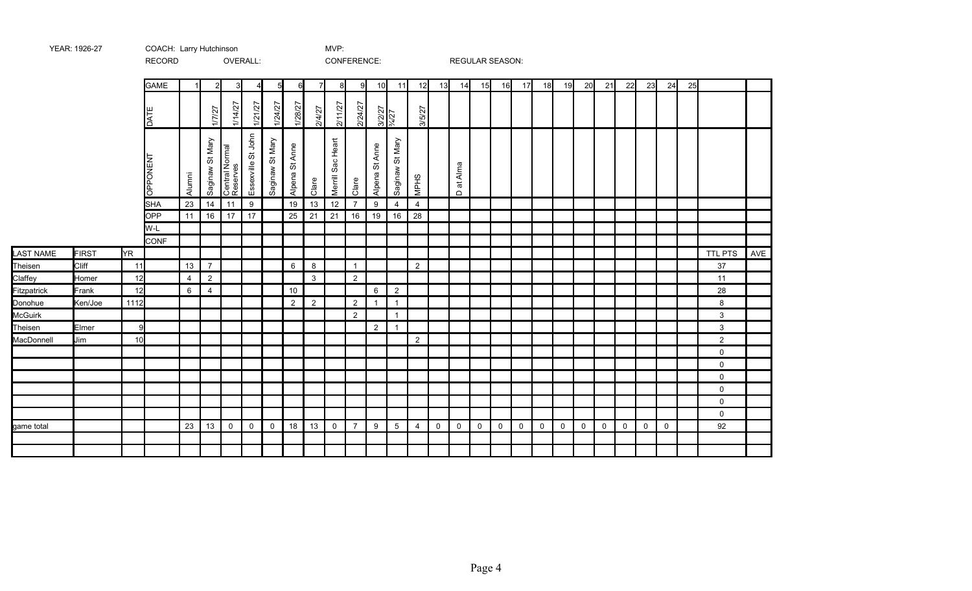|                |              |      | <b>RECORD</b>   |                |                 |                            | OVERALL:           |                 |                     |                |                      | CONFERENCE:    |                   |                    |                |              | REGULAR SEASON:   |              |             |             |             |             |             |             |              |             |             |    |                |     |
|----------------|--------------|------|-----------------|----------------|-----------------|----------------------------|--------------------|-----------------|---------------------|----------------|----------------------|----------------|-------------------|--------------------|----------------|--------------|-------------------|--------------|-------------|-------------|-------------|-------------|-------------|-------------|--------------|-------------|-------------|----|----------------|-----|
|                |              |      | <b>GAME</b>     |                | $\overline{c}$  | 3                          | 4                  | 5 <sup>1</sup>  | 6                   | 7              | 8                    | 9              | 10                | 11                 | 12             | 13           | 14                | 15           | 16          | 17          | 18          | 19          | 20          | 21          | 22           | 23          | 24          | 25 |                |     |
|                |              |      | <b>DATE</b>     |                | 1/7/27          | 1/14/27                    | 1/21/27            | 1/24/27         | 1/28/27             | 2/4/27         | 2/11/27              | 2/24/27        |                   | 3/2/27             | 3/5/27         |              |                   |              |             |             |             |             |             |             |              |             |             |    |                |     |
|                |              |      | <b>DPPONENT</b> | Alumni         | Saginaw St Mary | Central Normal<br>Reserves | Essexville St John | Saginaw St Mary | Anne<br>5<br>Alpena | Clare          | Sac Heart<br>Merrill | Clare          | St Anne<br>Alpena | St Mary<br>Saginaw | <b>MPHS</b>    |              | at Alma<br>$\Box$ |              |             |             |             |             |             |             |              |             |             |    |                |     |
|                |              |      | <b>SHA</b>      | 23             | 14              | 11                         | $9\,$              |                 | 19                  | 13             | 12                   | $\overline{7}$ | 9                 | $\overline{4}$     | $\overline{4}$ |              |                   |              |             |             |             |             |             |             |              |             |             |    |                |     |
|                |              |      | OPP             | 11             | 16              | 17                         | 17                 |                 | 25                  | 21             | 21                   | 16             | 19                | 16                 | 28             |              |                   |              |             |             |             |             |             |             |              |             |             |    |                |     |
|                |              |      | W-L             |                |                 |                            |                    |                 |                     |                |                      |                |                   |                    |                |              |                   |              |             |             |             |             |             |             |              |             |             |    |                |     |
|                |              |      | <b>CONF</b>     |                |                 |                            |                    |                 |                     |                |                      |                |                   |                    |                |              |                   |              |             |             |             |             |             |             |              |             |             |    |                |     |
| LAST NAME      | <b>FIRST</b> | YR.  |                 |                |                 |                            |                    |                 |                     |                |                      |                |                   |                    |                |              |                   |              |             |             |             |             |             |             |              |             |             |    | TTL PTS        | AVE |
| Theisen        | Cliff        | 11   |                 | 13             | $\overline{7}$  |                            |                    |                 | 6                   | 8              |                      | $\mathbf{1}$   |                   |                    | $\overline{2}$ |              |                   |              |             |             |             |             |             |             |              |             |             |    | 37             |     |
| Claffey        | Homer        | 12   |                 | $\overline{4}$ | $\mathbf 2$     |                            |                    |                 |                     | $\mathbf{3}$   |                      | $\overline{2}$ |                   |                    |                |              |                   |              |             |             |             |             |             |             |              |             |             |    | 11             |     |
| Fitzpatrick    | Frank        | 12   |                 | 6              | $\overline{4}$  |                            |                    |                 | 10                  |                |                      |                | 6                 | $\overline{2}$     |                |              |                   |              |             |             |             |             |             |             |              |             |             |    | 28             |     |
| Donohue        | Ken/Joe      | 1112 |                 |                |                 |                            |                    |                 | $\overline{2}$      | $\overline{2}$ |                      | $\overline{2}$ | 1                 | $\overline{1}$     |                |              |                   |              |             |             |             |             |             |             |              |             |             |    | 8              |     |
| <b>McGuirk</b> |              |      |                 |                |                 |                            |                    |                 |                     |                |                      | 2              |                   | $\overline{1}$     |                |              |                   |              |             |             |             |             |             |             |              |             |             |    | $\mathbf{3}$   |     |
| Theisen        | Elmer        | 9    |                 |                |                 |                            |                    |                 |                     |                |                      |                | $\overline{2}$    | $\overline{1}$     |                |              |                   |              |             |             |             |             |             |             |              |             |             |    | 3              |     |
| MacDonnell     | Jim          | 10   |                 |                |                 |                            |                    |                 |                     |                |                      |                |                   |                    | $\overline{2}$ |              |                   |              |             |             |             |             |             |             |              |             |             |    | $\overline{2}$ |     |
|                |              |      |                 |                |                 |                            |                    |                 |                     |                |                      |                |                   |                    |                |              |                   |              |             |             |             |             |             |             |              |             |             |    | $\mathsf{O}$   |     |
|                |              |      |                 |                |                 |                            |                    |                 |                     |                |                      |                |                   |                    |                |              |                   |              |             |             |             |             |             |             |              |             |             |    | $\mathsf{O}$   |     |
|                |              |      |                 |                |                 |                            |                    |                 |                     |                |                      |                |                   |                    |                |              |                   |              |             |             |             |             |             |             |              |             |             |    | 0              |     |
|                |              |      |                 |                |                 |                            |                    |                 |                     |                |                      |                |                   |                    |                |              |                   |              |             |             |             |             |             |             |              |             |             |    | $\mathsf{O}$   |     |
|                |              |      |                 |                |                 |                            |                    |                 |                     |                |                      |                |                   |                    |                |              |                   |              |             |             |             |             |             |             |              |             |             |    | 0              |     |
|                |              |      |                 |                |                 |                            |                    |                 |                     |                |                      |                |                   |                    |                |              |                   |              |             |             |             |             |             |             |              |             |             |    | 0              |     |
| game total     |              |      |                 | 23             | 13              | $\mathbf 0$                | $\mathbf 0$        | $\mathbf 0$     | 18                  | 13             | $\mathbf 0$          | $\overline{7}$ | 9                 | $5\overline{)}$    | $\overline{4}$ | $\mathsf{O}$ | $\mathbf 0$       | $\mathsf{O}$ | $\mathbf 0$ | $\mathbf 0$ | $\mathbf 0$ | $\mathbf 0$ | $\mathbf 0$ | $\mathbf 0$ | $\mathsf{O}$ | $\mathbf 0$ | $\mathbf 0$ |    | 92             |     |
|                |              |      |                 |                |                 |                            |                    |                 |                     |                |                      |                |                   |                    |                |              |                   |              |             |             |             |             |             |             |              |             |             |    |                |     |
|                |              |      |                 |                |                 |                            |                    |                 |                     |                |                      |                |                   |                    |                |              |                   |              |             |             |             |             |             |             |              |             |             |    |                |     |

## YEAR: 1926-27 COACH: Larry Hutchinson MVP: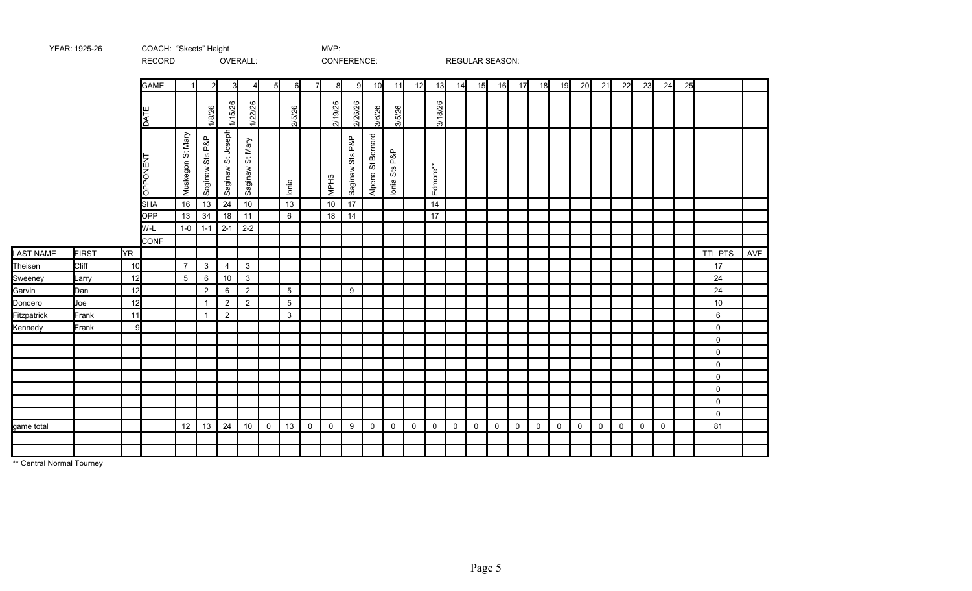|                  |              |              | RECORD          |                  |                 |                   | OVERALL:                        |                |                 |                |              | CONFERENCE:           |                      |                                |             |                |              |                | <b>REGULAR SEASON:</b> |              |             |              |             |              |              |              |             |    |         |     |
|------------------|--------------|--------------|-----------------|------------------|-----------------|-------------------|---------------------------------|----------------|-----------------|----------------|--------------|-----------------------|----------------------|--------------------------------|-------------|----------------|--------------|----------------|------------------------|--------------|-------------|--------------|-------------|--------------|--------------|--------------|-------------|----|---------|-----|
|                  |              |              | <b>GAME</b>     |                  | 2               | $\overline{3}$    | Δ                               | 5 <sub>l</sub> | 6               | $\overline{7}$ | 8            | -9I                   | 10                   | 11                             | 12          | 13             | 14           | 15             | 16                     | 17           | 18          | 19           | 20          | 21           | 22           | 23           | 24          | 25 |         |     |
|                  |              |              | <b>DATE</b>     |                  | 1/8/26          | 1/15/26           | 1/22/26                         |                | 2/5/26          |                | 2/19/26      | 2/26/26               | 3/6/26               | 3/5/26                         |             | 3/18/26        |              |                |                        |              |             |              |             |              |              |              |             |    |         |     |
|                  |              |              | <b>OPPONENT</b> | Muskegon St Mary | Saginaw Sts P&P | Saginaw St Joseph | St Mary<br>Saginaw <sup>9</sup> |                | lonia           |                | <b>MPHS</b>  | P&P<br>Sts<br>Saginaw | St Bernard<br>Alpena | P&P<br>$\frac{25}{3}$<br>lonia |             | Edmore**       |              |                |                        |              |             |              |             |              |              |              |             |    |         |     |
|                  |              |              | <b>SHA</b>      | 16               | 13              | 24                | $10\,$                          |                | 13              |                | 10           | 17                    |                      |                                |             | 14             |              |                |                        |              |             |              |             |              |              |              |             |    |         |     |
|                  |              |              | OPP             | 13               | 34              | 18                | 11                              |                | 6               |                | 18           | 14                    |                      |                                |             | 17             |              |                |                        |              |             |              |             |              |              |              |             |    |         |     |
|                  |              |              | W-L             | $1-0$            | $1 - 1$         | $2 - 1$           | $2 - 2$                         |                |                 |                |              |                       |                      |                                |             |                |              |                |                        |              |             |              |             |              |              |              |             |    |         |     |
|                  |              |              | <b>CONF</b>     |                  |                 |                   |                                 |                |                 |                |              |                       |                      |                                |             |                |              |                |                        |              |             |              |             |              |              |              |             |    |         |     |
| <b>LAST NAME</b> | <b>FIRST</b> | YR.          |                 |                  |                 |                   |                                 |                |                 |                |              |                       |                      |                                |             |                |              |                |                        |              |             |              |             |              |              |              |             |    | TTL PTS | AVE |
| Theisen          | Cliff        | 10           |                 | $\overline{7}$   | $\mathbf{3}$    | $\overline{4}$    | $\mathbf{3}$                    |                |                 |                |              |                       |                      |                                |             |                |              |                |                        |              |             |              |             |              |              |              |             |    | 17      |     |
| Sweeney          | Larry        | 12           |                 | $5\phantom{.0}$  | 6               | 10                | $\mathbf{3}$                    |                |                 |                |              |                       |                      |                                |             |                |              |                |                        |              |             |              |             |              |              |              |             |    | 24      |     |
| Garvin           | Dan          | 12           |                 |                  | $\overline{2}$  | $6\phantom{.}$    | $\overline{2}$                  |                | $5\phantom{.0}$ |                |              | 9                     |                      |                                |             |                |              |                |                        |              |             |              |             |              |              |              |             |    | 24      |     |
| Dondero          | Joe          | 12           |                 |                  | $\mathbf{1}$    | $\overline{2}$    | $\overline{2}$                  |                | $5\phantom{.0}$ |                |              |                       |                      |                                |             |                |              |                |                        |              |             |              |             |              |              |              |             |    | 10      |     |
| Fitzpatrick      | Frank        | 11           |                 |                  | $\mathbf 1$     | $\overline{2}$    |                                 |                | $\mathbf{3}$    |                |              |                       |                      |                                |             |                |              |                |                        |              |             |              |             |              |              |              |             |    | 6       |     |
| Kennedy          | Frank        | $\mathbf{q}$ |                 |                  |                 |                   |                                 |                |                 |                |              |                       |                      |                                |             |                |              |                |                        |              |             |              |             |              |              |              |             |    | 0       |     |
|                  |              |              |                 |                  |                 |                   |                                 |                |                 |                |              |                       |                      |                                |             |                |              |                |                        |              |             |              |             |              |              |              |             |    | 0       |     |
|                  |              |              |                 |                  |                 |                   |                                 |                |                 |                |              |                       |                      |                                |             |                |              |                |                        |              |             |              |             |              |              |              |             |    | 0       |     |
|                  |              |              |                 |                  |                 |                   |                                 |                |                 |                |              |                       |                      |                                |             |                |              |                |                        |              |             |              |             |              |              |              |             |    | 0       |     |
|                  |              |              |                 |                  |                 |                   |                                 |                |                 |                |              |                       |                      |                                |             |                |              |                |                        |              |             |              |             |              |              |              |             |    | 0       |     |
|                  |              |              |                 |                  |                 |                   |                                 |                |                 |                |              |                       |                      |                                |             |                |              |                |                        |              |             |              |             |              |              |              |             |    | 0       |     |
|                  |              |              |                 |                  |                 |                   |                                 |                |                 |                |              |                       |                      |                                |             |                |              |                |                        |              |             |              |             |              |              |              |             |    | 0       |     |
|                  |              |              |                 |                  |                 |                   |                                 |                |                 |                |              |                       |                      |                                |             |                |              |                |                        |              |             |              |             |              |              |              |             |    | 0       |     |
| game total       |              |              |                 | 12               | 13              | 24                | 10                              | $\mathbf 0$    | 13              | $\mathsf{O}$   | $\mathsf{O}$ | 9                     | $\mathbf 0$          | $\mathsf{O}$                   | $\mathbf 0$ | $\overline{0}$ | $\mathsf{O}$ | $\overline{0}$ | $\mathbf 0$            | $\mathbf{0}$ | $\mathbf 0$ | $\mathbf{0}$ | $\mathbf 0$ | $\mathsf{O}$ | $\mathsf{O}$ | $\mathsf{O}$ | $\mathbf 0$ |    | 81      |     |
|                  |              |              |                 |                  |                 |                   |                                 |                |                 |                |              |                       |                      |                                |             |                |              |                |                        |              |             |              |             |              |              |              |             |    |         |     |
|                  |              |              |                 |                  |                 |                   |                                 |                |                 |                |              |                       |                      |                                |             |                |              |                |                        |              |             |              |             |              |              |              |             |    |         |     |

\*\* Central Normal Tourney

YEAR: 1925-26 **COACH: "Skeets" Haight** MVP: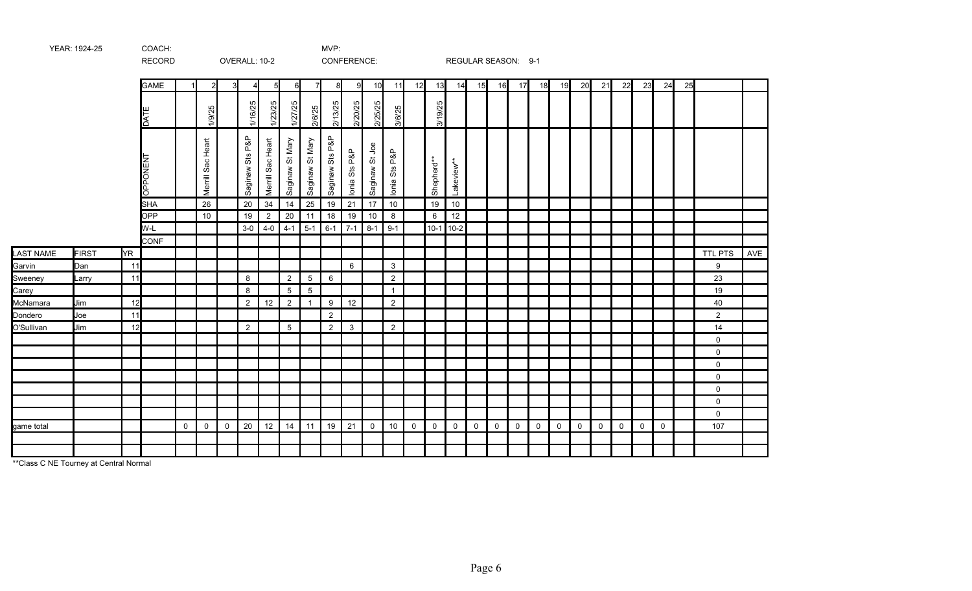|            |              |     | RECORD          |                |                      |              | OVERALL: 10-2      |                   |                 |                 |                    | CONFERENCE:   |                |                               |             |             | REGULAR SEASON: 9-1    |             |             |             |             |             |             |             |             |             |                     |    |                |     |
|------------|--------------|-----|-----------------|----------------|----------------------|--------------|--------------------|-------------------|-----------------|-----------------|--------------------|---------------|----------------|-------------------------------|-------------|-------------|------------------------|-------------|-------------|-------------|-------------|-------------|-------------|-------------|-------------|-------------|---------------------|----|----------------|-----|
|            |              |     | <b>GAME</b>     | $\overline{ }$ | $\mathcal{P}$        |              | 4                  | $5 \blacksquare$  | $6\blacksquare$ | 7               | 8                  | 9             | 10             | 11                            | 12          | 13          | 14                     | 15          | 16          | 17          | 18          | 19          | 20          | 21          | 22          | 23          | 24                  | 25 |                |     |
|            |              |     | DATE            |                | 1/9/25               |              | 1/16/25            | 1/23/25           | 1/27/25         | 2/6/25          | 2/13/25            | 2/20/25       | 2/25/25        | 3/6/25                        |             | 3/19/25     |                        |             |             |             |             |             |             |             |             |             |                     |    |                |     |
|            |              |     | <b>OPPONENT</b> |                | Sac Heart<br>Merrill |              | Sts P&P<br>Saginaw | Merrill Sac Heart | Saginaw St Mary | Saginaw St Mary | P&P<br>Saginaw Sts | Ionia Sts P&P | Saginaw St Joe | P&P<br>$\frac{3}{5}$<br>lonia |             | Shepherd**  | Lakeview <sup>**</sup> |             |             |             |             |             |             |             |             |             |                     |    |                |     |
|            |              |     | <b>SHA</b>      |                | 26                   |              | 20                 | $34\,$            | 14              | 25              | 19                 | 21            | 17             | 10                            |             | 19          | 10 <sub>1</sub>        |             |             |             |             |             |             |             |             |             |                     |    |                |     |
|            |              |     | <b>OPP</b>      |                | $10$                 |              | 19                 | $\overline{2}$    | $20\,$          | 11              | 18                 | 19            | 10             | 8                             |             | 6           | 12                     |             |             |             |             |             |             |             |             |             |                     |    |                |     |
|            |              |     | W-L             |                |                      |              | $3-0$              | $4-0$             | $4 - 1$         | $5 - 1$         | $6 - 1$            | $7 - 1$       | $8 - 1$        | $9 - 1$                       |             |             | 10-1 10-2              |             |             |             |             |             |             |             |             |             |                     |    |                |     |
|            |              |     | <b>CONF</b>     |                |                      |              |                    |                   |                 |                 |                    |               |                |                               |             |             |                        |             |             |             |             |             |             |             |             |             |                     |    |                |     |
| LAST NAME  | <b>FIRST</b> | YR. |                 |                |                      |              |                    |                   |                 |                 |                    |               |                |                               |             |             |                        |             |             |             |             |             |             |             |             |             |                     |    | TTL PTS        | AVE |
| Garvin     | Dan          | 11  |                 |                |                      |              |                    |                   |                 |                 |                    | 6             |                | $\mathbf{3}$                  |             |             |                        |             |             |             |             |             |             |             |             |             |                     |    | 9              |     |
| Sweeney    | Larry        | 11  |                 |                |                      |              | $\boldsymbol{8}$   |                   | $\overline{2}$  | $5\phantom{.0}$ | 6                  |               |                | $\overline{2}$                |             |             |                        |             |             |             |             |             |             |             |             |             |                     |    | 23             |     |
| Carey      |              |     |                 |                |                      |              | 8                  |                   | $\overline{5}$  | $5\phantom{.0}$ |                    |               |                | $\mathbf{1}$                  |             |             |                        |             |             |             |             |             |             |             |             |             |                     |    | 19             |     |
| McNamara   | Jim          | 12  |                 |                |                      |              | 2                  | 12                | $\overline{2}$  | $\overline{1}$  | 9                  | 12            |                | $\overline{2}$                |             |             |                        |             |             |             |             |             |             |             |             |             |                     |    | 40             |     |
| Dondero    | Joe          | 11  |                 |                |                      |              |                    |                   |                 |                 | $\overline{2}$     |               |                |                               |             |             |                        |             |             |             |             |             |             |             |             |             |                     |    | $\overline{2}$ |     |
| O'Sullivan | Jim          | 12  |                 |                |                      |              | 2                  |                   | $5\phantom{.0}$ |                 | $\overline{2}$     | $\mathbf{3}$  |                | 2                             |             |             |                        |             |             |             |             |             |             |             |             |             |                     |    | 14             |     |
|            |              |     |                 |                |                      |              |                    |                   |                 |                 |                    |               |                |                               |             |             |                        |             |             |             |             |             |             |             |             |             |                     |    | $\mathbf 0$    |     |
|            |              |     |                 |                |                      |              |                    |                   |                 |                 |                    |               |                |                               |             |             |                        |             |             |             |             |             |             |             |             |             |                     |    | $\mathsf{O}$   |     |
|            |              |     |                 |                |                      |              |                    |                   |                 |                 |                    |               |                |                               |             |             |                        |             |             |             |             |             |             |             |             |             |                     |    | $\mathbf 0$    |     |
|            |              |     |                 |                |                      |              |                    |                   |                 |                 |                    |               |                |                               |             |             |                        |             |             |             |             |             |             |             |             |             |                     |    | $\mathbf 0$    |     |
|            |              |     |                 |                |                      |              |                    |                   |                 |                 |                    |               |                |                               |             |             |                        |             |             |             |             |             |             |             |             |             |                     |    | $\mathbf 0$    |     |
|            |              |     |                 |                |                      |              |                    |                   |                 |                 |                    |               |                |                               |             |             |                        |             |             |             |             |             |             |             |             |             |                     |    | $\mathsf{O}$   |     |
|            |              |     |                 |                |                      |              |                    |                   |                 |                 |                    |               |                |                               |             |             |                        |             |             |             |             |             |             |             |             |             |                     |    | $\mathsf{O}$   |     |
| game total |              |     |                 | $\overline{0}$ | $\mathbf 0$          | $\mathsf{O}$ | 20                 | 12                | 14              | 11              | 19                 | 21            | $\mathbf 0$    | 10                            | $\mathbf 0$ | $\mathbf 0$ | $\mathsf{O}$           | $\mathsf 0$ | $\mathbf 0$ | $\mathbf 0$ | $\mathbf 0$ | $\mathbf 0$ | $\mathbf 0$ | $\mathbf 0$ | $\mathsf 0$ | $\mathsf 0$ | $\mathsf{O}\xspace$ |    | 107            |     |
|            |              |     |                 |                |                      |              |                    |                   |                 |                 |                    |               |                |                               |             |             |                        |             |             |             |             |             |             |             |             |             |                     |    |                |     |
|            |              |     |                 |                |                      |              |                    |                   |                 |                 |                    |               |                |                               |             |             |                        |             |             |             |             |             |             |             |             |             |                     |    |                |     |

\*\*Class C NE Tourney at Central Normal

YEAR: 1924-25 COACH: COACH: MVP: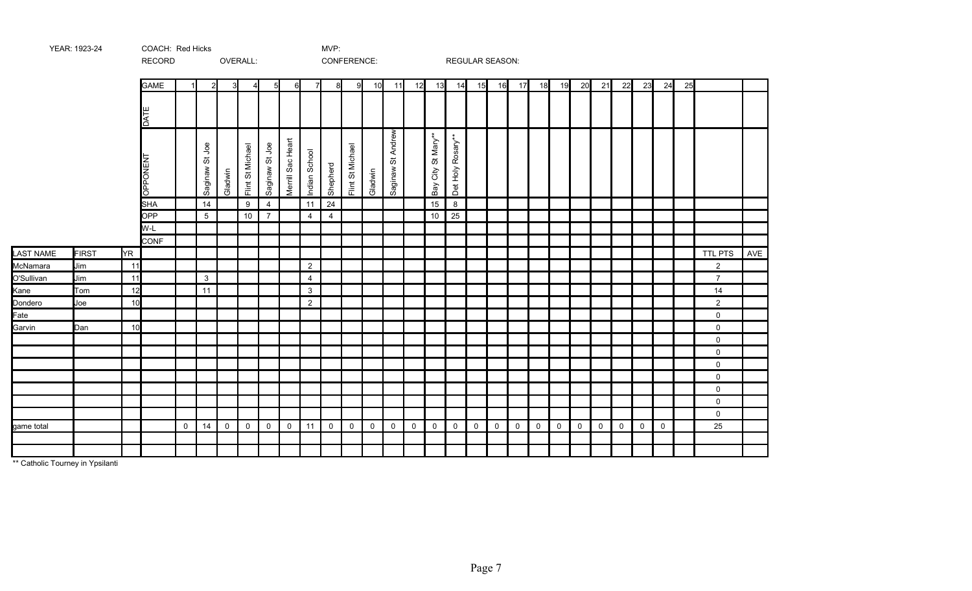|            |              |     | RECORD      |                |                   |             | OVERALL:         |                |                     |                |                | CONFERENCE:      |             |                                                  |             |                          |                  |             | REGULAR SEASON: |             |              |             |              |                     |             |                     |             |    |                |     |
|------------|--------------|-----|-------------|----------------|-------------------|-------------|------------------|----------------|---------------------|----------------|----------------|------------------|-------------|--------------------------------------------------|-------------|--------------------------|------------------|-------------|-----------------|-------------|--------------|-------------|--------------|---------------------|-------------|---------------------|-------------|----|----------------|-----|
|            |              |     | <b>GAME</b> |                | 2 <sup>1</sup>    |             |                  | 5 <sub>l</sub> | 6                   | $\overline{7}$ | 8              | 9                | 10          | 11                                               | 12          |                          | $13$ $14$        | 15          | 16              | 17          | 18           | 19          | 20           | 21                  | 22          | 23                  | 24          | 25 |                |     |
|            |              |     | <b>DATE</b> |                |                   |             |                  |                |                     |                |                |                  |             |                                                  |             |                          |                  |             |                 |             |              |             |              |                     |             |                     |             |    |                |     |
|            |              |     | OPPONENT    |                | St Joe<br>Saginaw | Gladwin     | Flint St Michael | Saginaw St Joe | Merrill Sac Heart   | Indian School  | Shepherd       | Flint St Michael | Gladwin     | <b>Andrew</b><br>$\breve{\mathrm{o}}$<br>Saginaw |             | St Mary**<br>City<br>Bay | Det Holy Rosary* |             |                 |             |              |             |              |                     |             |                     |             |    |                |     |
|            |              |     | <b>SHA</b>  |                | 14                |             | 9                | $\overline{4}$ |                     | 11             | 24             |                  |             |                                                  |             | 15                       | 8                |             |                 |             |              |             |              |                     |             |                     |             |    |                |     |
|            |              |     | <b>OPP</b>  |                | $5\overline{)}$   |             | 10               | $\overline{7}$ |                     | $\overline{4}$ | $\overline{4}$ |                  |             |                                                  |             | 10                       | 25               |             |                 |             |              |             |              |                     |             |                     |             |    |                |     |
|            |              |     | W-L         |                |                   |             |                  |                |                     |                |                |                  |             |                                                  |             |                          |                  |             |                 |             |              |             |              |                     |             |                     |             |    |                |     |
|            |              |     | <b>CONF</b> |                |                   |             |                  |                |                     |                |                |                  |             |                                                  |             |                          |                  |             |                 |             |              |             |              |                     |             |                     |             |    |                |     |
| LAST NAME  | <b>FIRST</b> | YR. |             |                |                   |             |                  |                |                     |                |                |                  |             |                                                  |             |                          |                  |             |                 |             |              |             |              |                     |             |                     |             |    | TTL PTS        | AVE |
| McNamara   | Jim          | 11  |             |                |                   |             |                  |                |                     | $\overline{2}$ |                |                  |             |                                                  |             |                          |                  |             |                 |             |              |             |              |                     |             |                     |             |    | $\overline{a}$ |     |
| O'Sullivan | Jim          | 11  |             |                | $\mathbf{3}$      |             |                  |                |                     | $\overline{4}$ |                |                  |             |                                                  |             |                          |                  |             |                 |             |              |             |              |                     |             |                     |             |    | $\overline{7}$ |     |
| Kane       | Tom          | 12  |             |                | 11                |             |                  |                |                     | $\mathbf{3}$   |                |                  |             |                                                  |             |                          |                  |             |                 |             |              |             |              |                     |             |                     |             |    | 14             |     |
| Dondero    | Joe          | 10  |             |                |                   |             |                  |                |                     | $\overline{2}$ |                |                  |             |                                                  |             |                          |                  |             |                 |             |              |             |              |                     |             |                     |             |    | $\overline{2}$ |     |
| Fate       |              |     |             |                |                   |             |                  |                |                     |                |                |                  |             |                                                  |             |                          |                  |             |                 |             |              |             |              |                     |             |                     |             |    | 0              |     |
| Garvin     | Dan          | 10  |             |                |                   |             |                  |                |                     |                |                |                  |             |                                                  |             |                          |                  |             |                 |             |              |             |              |                     |             |                     |             |    | 0              |     |
|            |              |     |             |                |                   |             |                  |                |                     |                |                |                  |             |                                                  |             |                          |                  |             |                 |             |              |             |              |                     |             |                     |             |    | 0              |     |
|            |              |     |             |                |                   |             |                  |                |                     |                |                |                  |             |                                                  |             |                          |                  |             |                 |             |              |             |              |                     |             |                     |             |    | 0              |     |
|            |              |     |             |                |                   |             |                  |                |                     |                |                |                  |             |                                                  |             |                          |                  |             |                 |             |              |             |              |                     |             |                     |             |    | 0              |     |
|            |              |     |             |                |                   |             |                  |                |                     |                |                |                  |             |                                                  |             |                          |                  |             |                 |             |              |             |              |                     |             |                     |             |    | 0              |     |
|            |              |     |             |                |                   |             |                  |                |                     |                |                |                  |             |                                                  |             |                          |                  |             |                 |             |              |             |              |                     |             |                     |             |    | 0              |     |
|            |              |     |             |                |                   |             |                  |                |                     |                |                |                  |             |                                                  |             |                          |                  |             |                 |             |              |             |              |                     |             |                     |             |    | 0              |     |
|            |              |     |             |                |                   |             |                  |                |                     |                |                |                  |             |                                                  |             |                          |                  |             |                 |             |              |             |              |                     |             |                     |             |    | 0              |     |
| game total |              |     |             | $\overline{0}$ | 14                | $\mathbf 0$ | $\mathsf{O}$     | $\mathbf 0$    | $\mathsf{O}\xspace$ | 11             | $\mathsf 0$    | $\mathsf 0$      | $\mathbf 0$ | $\mathsf{O}$                                     | $\mathbf 0$ | $\mathsf{O}$             | $\mathsf 0$      | $\mathsf 0$ | $\mathbf 0$     | $\mathbf 0$ | $\mathsf{O}$ | $\mathbf 0$ | $\mathsf{O}$ | $\mathsf{O}\xspace$ | $\mathsf 0$ | $\mathsf{O}\xspace$ | $\mathbf 0$ |    | 25             |     |
|            |              |     |             |                |                   |             |                  |                |                     |                |                |                  |             |                                                  |             |                          |                  |             |                 |             |              |             |              |                     |             |                     |             |    |                |     |
|            |              |     |             |                |                   |             |                  |                |                     |                |                |                  |             |                                                  |             |                          |                  |             |                 |             |              |             |              |                     |             |                     |             |    |                |     |

\*\* Catholic Tourney in Ypsilanti

YEAR: 1923-24 COACH: Red Hicks COACH: Red Hicks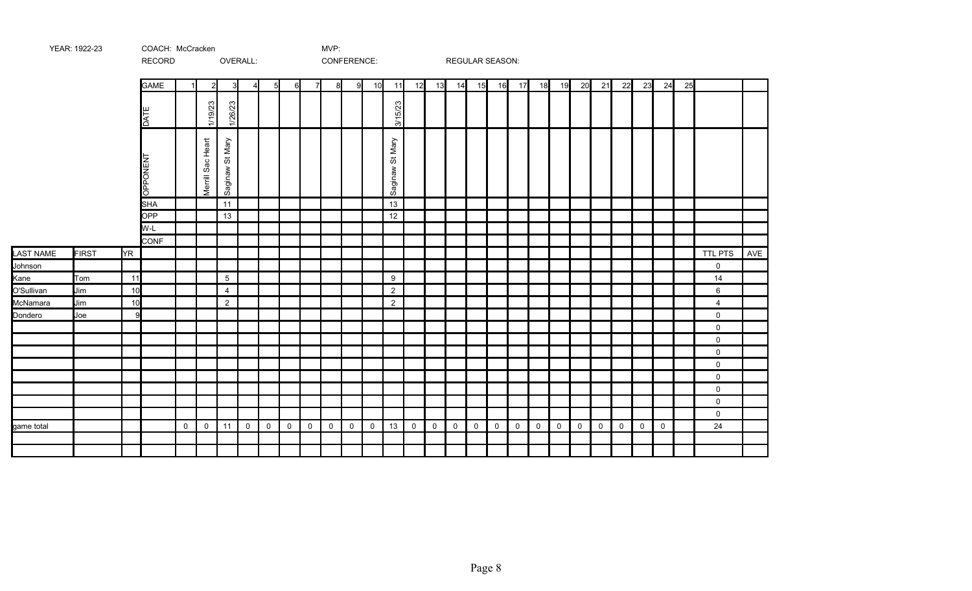|            |              |           | <b>RECORD</b> |             |                     |                 | OVERALL:            |                |                  |                |                     | CONFERENCE: |             |                                  |              |             | REGULAR SEASON: |             |                     |                     |             |             |             |             |             |             |              |    |                     |     |
|------------|--------------|-----------|---------------|-------------|---------------------|-----------------|---------------------|----------------|------------------|----------------|---------------------|-------------|-------------|----------------------------------|--------------|-------------|-----------------|-------------|---------------------|---------------------|-------------|-------------|-------------|-------------|-------------|-------------|--------------|----|---------------------|-----|
|            |              |           | <b>GAME</b>   |             | $\overline{2}$      | 3I              | 4                   | 5 <sup>1</sup> | $6 \blacksquare$ | 7 <sup>1</sup> | 8                   | 9           | 10          | 11                               | 12           | 13          | 14              | 15          | 16                  | 17                  | 18          | 19          | 20          | 21          | 22          | 23          | 24           | 25 |                     |     |
|            |              |           | <b>ATE</b>    |             | 1/19/23             | 1/26/23         |                     |                |                  |                |                     |             |             | 3/15/23                          |              |             |                 |             |                     |                     |             |             |             |             |             |             |              |    |                     |     |
|            |              |           | OPPONENT      |             | Merrill Sac Heart   | Saginaw St Mary |                     |                |                  |                |                     |             |             | St Mary<br>Saginaw <sup>\$</sup> |              |             |                 |             |                     |                     |             |             |             |             |             |             |              |    |                     |     |
|            |              |           | <b>SHA</b>    |             |                     | 11              |                     |                |                  |                |                     |             |             | 13                               |              |             |                 |             |                     |                     |             |             |             |             |             |             |              |    |                     |     |
|            |              |           | <b>OPP</b>    |             |                     | 13              |                     |                |                  |                |                     |             |             | 12                               |              |             |                 |             |                     |                     |             |             |             |             |             |             |              |    |                     |     |
|            |              |           | W-L           |             |                     |                 |                     |                |                  |                |                     |             |             |                                  |              |             |                 |             |                     |                     |             |             |             |             |             |             |              |    |                     |     |
|            |              |           | <b>CONF</b>   |             |                     |                 |                     |                |                  |                |                     |             |             |                                  |              |             |                 |             |                     |                     |             |             |             |             |             |             |              |    |                     |     |
| LAST NAME  | <b>FIRST</b> | <b>YR</b> |               |             |                     |                 |                     |                |                  |                |                     |             |             |                                  |              |             |                 |             |                     |                     |             |             |             |             |             |             |              |    | TTL PTS             | AVE |
| Johnson    |              |           |               |             |                     |                 |                     |                |                  |                |                     |             |             |                                  |              |             |                 |             |                     |                     |             |             |             |             |             |             |              |    | $\mathbf 0$         |     |
| Kane       | Tom          | 11        |               |             |                     | $5\phantom{.0}$ |                     |                |                  |                |                     |             |             | 9                                |              |             |                 |             |                     |                     |             |             |             |             |             |             |              |    | 14                  |     |
| O'Sullivan | Jim          | 10        |               |             |                     | $\overline{4}$  |                     |                |                  |                |                     |             |             | $\boldsymbol{2}$                 |              |             |                 |             |                     |                     |             |             |             |             |             |             |              |    | 6                   |     |
| McNamara   | Jim          | 10        |               |             |                     | $\overline{2}$  |                     |                |                  |                |                     |             |             | $\overline{c}$                   |              |             |                 |             |                     |                     |             |             |             |             |             |             |              |    | 4                   |     |
| Dondero    | Joe          | -9        |               |             |                     |                 |                     |                |                  |                |                     |             |             |                                  |              |             |                 |             |                     |                     |             |             |             |             |             |             |              |    | $\mathbf 0$         |     |
|            |              |           |               |             |                     |                 |                     |                |                  |                |                     |             |             |                                  |              |             |                 |             |                     |                     |             |             |             |             |             |             |              |    | $\mathsf{O}\xspace$ |     |
|            |              |           |               |             |                     |                 |                     |                |                  |                |                     |             |             |                                  |              |             |                 |             |                     |                     |             |             |             |             |             |             |              |    | $\mathsf{O}$        |     |
|            |              |           |               |             |                     |                 |                     |                |                  |                |                     |             |             |                                  |              |             |                 |             |                     |                     |             |             |             |             |             |             |              |    | $\mathbf 0$         |     |
|            |              |           |               |             |                     |                 |                     |                |                  |                |                     |             |             |                                  |              |             |                 |             |                     |                     |             |             |             |             |             |             |              |    | $\mathsf{O}$        |     |
|            |              |           |               |             |                     |                 |                     |                |                  |                |                     |             |             |                                  |              |             |                 |             |                     |                     |             |             |             |             |             |             |              |    | $\mathbf 0$         |     |
|            |              |           |               |             |                     |                 |                     |                |                  |                |                     |             |             |                                  |              |             |                 |             |                     |                     |             |             |             |             |             |             |              |    | $\mathbf 0$         |     |
|            |              |           |               |             |                     |                 |                     |                |                  |                |                     |             |             |                                  |              |             |                 |             |                     |                     |             |             |             |             |             |             |              |    | $\mathbf{0}$        |     |
|            |              |           |               |             |                     |                 |                     |                |                  |                |                     |             |             |                                  |              |             |                 |             |                     |                     |             |             |             |             |             |             |              |    | $\mathbf 0$         |     |
| game total |              |           |               | $\mathsf 0$ | $\mathsf{O}\xspace$ | 11              | $\mathsf{O}\xspace$ | $\mathsf{O}$   | $\mathsf 0$      | $\mathsf 0$    | $\mathsf{O}\xspace$ | $\mathsf 0$ | $\mathsf 0$ | 13                               | $\mathsf{O}$ | $\mathsf 0$ | $\mathsf 0$     | $\mathbf 0$ | $\mathsf{O}\xspace$ | $\mathsf{O}\xspace$ | $\mathbf 0$ | $\mathsf 0$ | $\mathbf 0$ | $\mathbf 0$ | $\mathsf 0$ | $\mathsf 0$ | $\mathsf{O}$ |    | 24                  |     |
|            |              |           |               |             |                     |                 |                     |                |                  |                |                     |             |             |                                  |              |             |                 |             |                     |                     |             |             |             |             |             |             |              |    |                     |     |
|            |              |           |               |             |                     |                 |                     |                |                  |                |                     |             |             |                                  |              |             |                 |             |                     |                     |             |             |             |             |             |             |              |    |                     |     |

Page 8